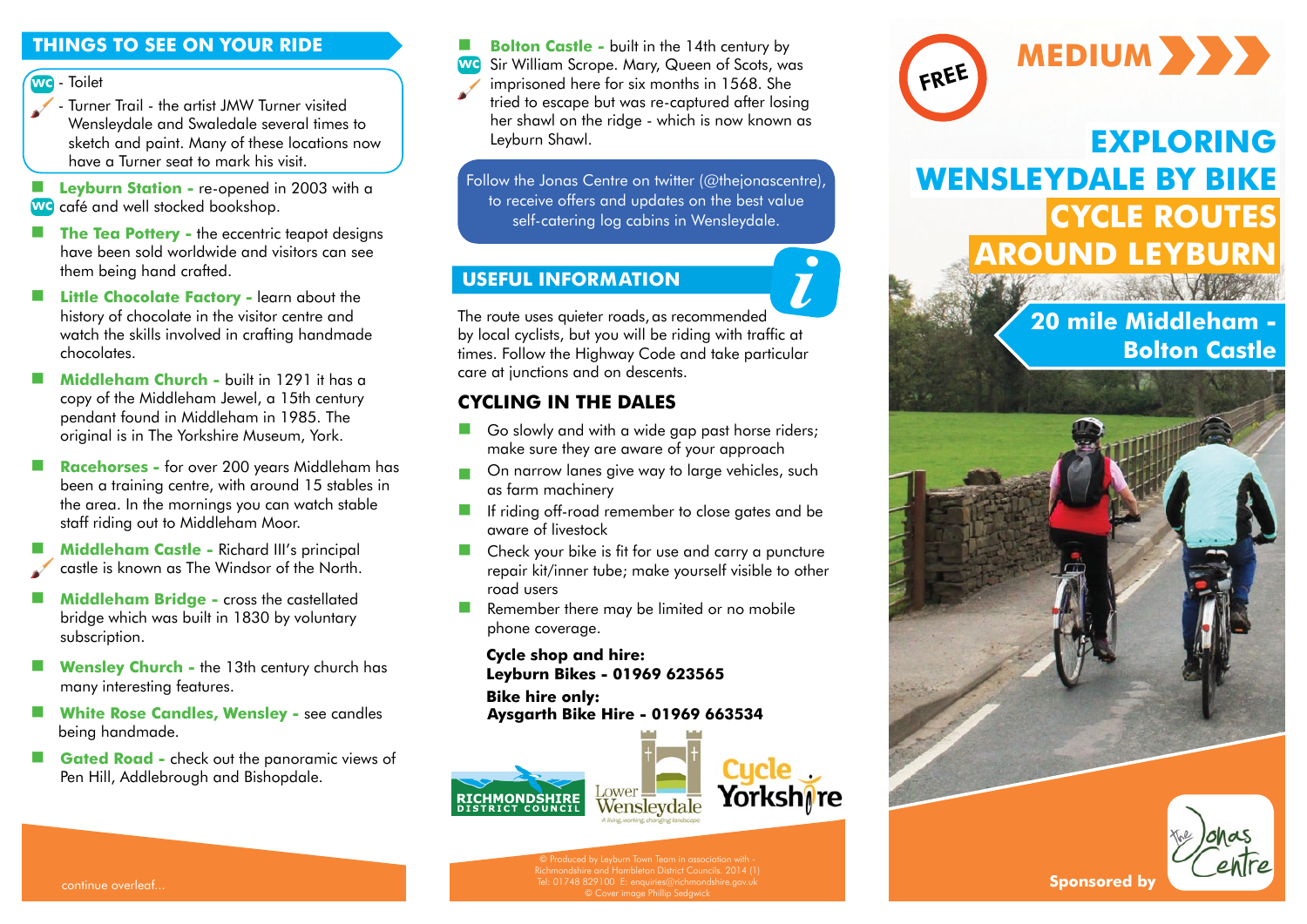### **THINGS TO SEE ON YOUR RIDE**

wc - Toilet

- Turner Trail the artist JMW Turner visited Wensleydale and Swaledale several times to sketch and paint. Many of these locations now have a Turner seat to mark his visit.
- **E** Levburn Station re-opened in 2003 with a wc café and well stocked bookshop.
- **The Tea Pottery -** the eccentric teapot designs have been sold worldwide and visitors can see them being hand crafted.
- **Little Chocolate Factory -** learn about the history of chocolate in the visitor centre and watch the skills involved in crafting handmade chocolates.
- **Middleham Church** built in 1291 it has a copy of the Middleham Jewel, a 15th century pendant found in Middleham in 1985. The original is in The Yorkshire Museum, York.
- **Racehorses** for over 200 years Middleham has been a training centre, with around 15 stables in the area. In the mornings you can watch stable staff riding out to Middleham Moor.
- **Middleham Castle -** Richard III's principal castle is known as The Windsor of the North.
- **Middleham Bridge** cross the castellated bridge which was built in 1830 by voluntary subscription.
- **Wensley Church** the 13th century church has many interesting features.
- **White Rose Candles, Wensley** see candles being handmade.
- **Gated Road -** check out the panoramic views of Pen Hill, Addlebrough and Bishopdale.

**Bolton Castle -** built in the 14th century by

Sir William Scrope. Mary, Queen of Scots, was **wc** 

imprisoned here for six months in 1568. She tried to escape but was re-captured after losing her shawl on the ridge - which is now known as Leyburn Shawl.

Follow the Jonas Centre on twitter [\(@thejonascentre\),](https://twitter.com/thejonascentre) to receive offers and updates on the best value self-catering log cabins in Wensleydale.

## **USEFUL INFORMATION** *i*

The route uses quieter roads, as recommended by local cyclists, but you will be riding with traffic at times. Follow the Highway Code and take particular care at junctions and on descents.

## **CYCLING IN THE DALES**

- Go slowly and with a wide gap past horse riders; make sure they are aware of your approach
- On narrow lanes give way to large vehicles, such as farm machinery
- If riding off-road remember to close gates and be aware of livestock
- **Check your bike is fit for use and carry a puncture** repair kit/inner tube; make yourself visible to other road users
- Remember there may be limited or no mobile phone coverage.

#### **Cycle shop and hire: Leyburn Bikes - 01969 623565**

**Bike hire only: Aysgarth Bik[e Hire - 01969 6](http://www.lower-wensleydale.com/)63534**





# **EXPLORING WENSLEYDALE BY BIKE CYCLE ROUTES AROUND LEYBURN**

# **20 mile Middleham - Bolton Castle**





continue overleaf...